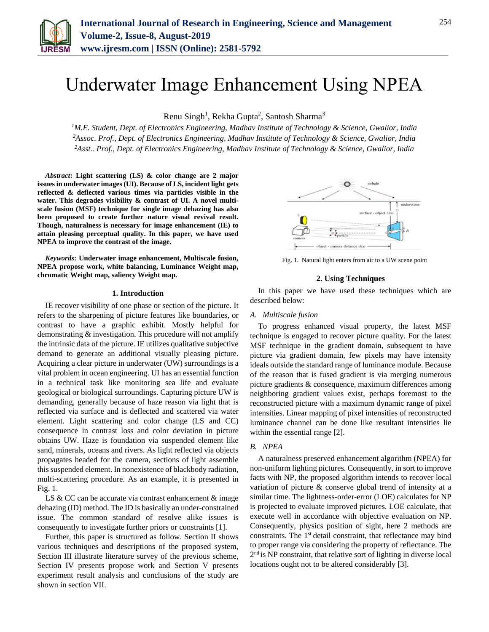

# Underwater Image Enhancement Using NPEA

Renu Singh<sup>1</sup>, Rekha Gupta<sup>2</sup>, Santosh Sharma<sup>3</sup>

*<sup>1</sup>M.E. Student, Dept. of Electronics Engineering, Madhav Institute of Technology & Science, Gwalior, India <sup>2</sup>Assoc. Prof., Dept. of Electronics Engineering, Madhav Institute of Technology & Science, Gwalior, India 2Asst.. Prof., Dept. of Electronics Engineering, Madhav Institute of Technology & Science, Gwalior, India*

*Abstract***: Light scattering (LS) & color change are 2 major issues in underwater images (UI). Because of LS, incident light gets reflected & deflected various times via particles visible in the water. This degrades visibility & contrast of UI. A novel multiscale fusion (MSF) technique for single image dehazing has also been proposed to create further nature visual revival result. Though, naturalness is necessary for image enhancement (IE) to attain pleasing perceptual quality. In this paper, we have used NPEA to improve the contrast of the image.**

*Keywords***: Underwater image enhancement, Multiscale fusion, NPEA propose work, white balancing, Luminance Weight map, chromatic Weight map, saliency Weight map.**

#### **1. Introduction**

IE recover visibility of one phase or section of the picture. It refers to the sharpening of picture features like boundaries, or contrast to have a graphic exhibit. Mostly helpful for demonstrating & investigation. This procedure will not amplify the intrinsic data of the picture. IE utilizes qualitative subjective demand to generate an additional visually pleasing picture. Acquiring a clear picture in underwater (UW) surroundings is a vital problem in ocean engineering. UI has an essential function in a technical task like monitoring sea life and evaluate geological or biological surroundings. Capturing picture UW is demanding, generally because of haze reason via light that is reflected via surface and is deflected and scattered via water element. Light scattering and color change (LS and CC) consequence in contrast loss and color deviation in picture obtains UW. Haze is foundation via suspended element like sand, minerals, oceans and rivers. As light reflected via objects propagates headed for the camera, sections of light assemble this suspended element. In nonexistence of blackbody radiation, multi-scattering procedure. As an example, it is presented in Fig. 1.

LS  $& CC$  can be accurate via contrast enhancement  $& image$ dehazing (ID) method. The ID is basically an under-constrained issue. The common standard of resolve alike issues is consequently to investigate further priors or constraints [1].

Further, this paper is structured as follow. Section II shows various techniques and descriptions of the proposed system, Section III illustrate literature survey of the previous scheme, Section IV presents propose work and Section V presents experiment result analysis and conclusions of the study are shown in section VII.



Fig. 1. Natural light enters from air to a UW scene point

## **2. Using Techniques**

In this paper we have used these techniques which are described below:

#### *A. Multiscale fusion*

To progress enhanced visual property, the latest MSF technique is engaged to recover picture quality. For the latest MSF technique in the gradient domain, subsequent to have picture via gradient domain, few pixels may have intensity ideals outside the standard range of luminance module. Because of the reason that is fused gradient is via merging numerous picture gradients & consequence, maximum differences among neighboring gradient values exist, perhaps foremost to the reconstructed picture with a maximum dynamic range of pixel intensities. Linear mapping of pixel intensities of reconstructed luminance channel can be done like resultant intensities lie within the essential range [2].

## *B. NPEA*

A naturalness preserved enhancement algorithm (NPEA) for non-uniform lighting pictures. Consequently, in sort to improve facts with NP, the proposed algorithm intends to recover local variation of picture & conserve global trend of intensity at a similar time. The lightness-order-error (LOE) calculates for NP is projected to evaluate improved pictures. LOE calculate, that execute well in accordance with objective evaluation on NP. Consequently, physics position of sight, here 2 methods are constraints. The 1<sup>st</sup> detail constraint, that reflectance may bind to proper range via considering the property of reflectance. The 2<sup>nd</sup> is NP constraint, that relative sort of lighting in diverse local locations ought not to be altered considerably [3].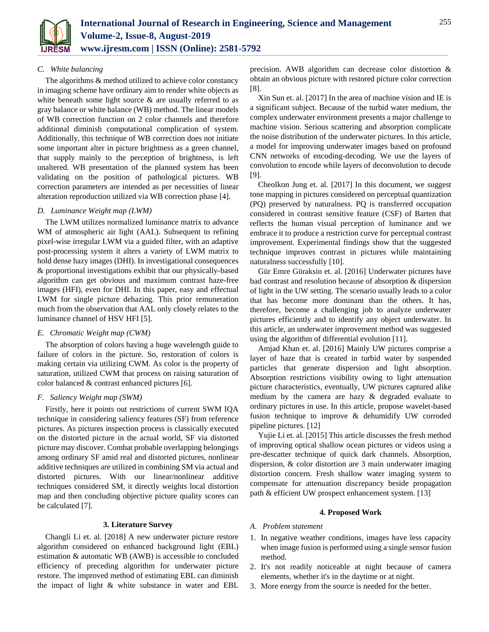

## *C. White balancing*

The algorithms & method utilized to achieve color constancy in imaging scheme have ordinary aim to render white objects as white beneath some light source  $\&$  are usually referred to as gray balance or white balance (WB) method. The linear models of WB correction function on 2 color channels and therefore additional diminish computational complication of system. Additionally, this technique of WB correction does not initiate some important alter in picture brightness as a green channel, that supply mainly to the perception of brightness, is left unaltered. WB presentation of the planned system has been validating on the position of pathological pictures. WB correction parameters are intended as per necessities of linear alteration reproduction utilized via WB correction phase [4].

## *D. Luminance Weight map (LWM)*

The LWM utilizes normalized luminance matrix to advance WM of atmospheric air light (AAL). Subsequent to refining pixel-wise irregular LWM via a guided filter, with an adaptive post-processing system it alters a variety of LWM matrix to hold dense hazy images (DHI). In investigational consequences & proportional investigations exhibit that our physically-based algorithm can get obvious and maximum contrast haze-free images (HFI), even for DHI. In this paper, easy and effectual LWM for single picture dehazing. This prior remuneration much from the observation that AAL only closely relates to the luminance channel of HSV HFI [5].

## *E. Chromatic Weight map (CWM)*

The absorption of colors having a huge wavelength guide to failure of colors in the picture. So, restoration of colors is making certain via utilizing CWM. As color is the property of saturation, utilized CWM that process on raising saturation of color balanced & contrast enhanced pictures [6].

## *F. Saliency Weight map (SWM)*

Firstly, here it points out restrictions of current SWM IQA technique in considering saliency features (SF) from reference pictures. As pictures inspection process is classically executed on the distorted picture in the actual world, SF via distorted picture may discover. Combat probable overlapping belongings among ordinary SF amid real and distorted pictures, nonlinear additive techniques are utilized in combining SM via actual and distorted pictures. With our linear/nonlinear additive techniques considered SM, it directly weights local distortion map and then concluding objective picture quality scores can be calculated [7].

#### **3. Literature Survey**

Changli Li et. al. [2018] A new underwater picture restore algorithm considered on enhanced background light (EBL) estimation & automatic WB (AWB) is accessible to concluded efficiency of preceding algorithm for underwater picture restore. The improved method of estimating EBL can diminish the impact of light & white substance in water and EBL

precision. AWB algorithm can decrease color distortion & obtain an obvious picture with restored picture color correction [8].

Xin Sun et. al. [2017] In the area of machine vision and IE is a significant subject. Because of the turbid water medium, the complex underwater environment presents a major challenge to machine vision. Serious scattering and absorption complicate the noise distribution of the underwater pictures. In this article, a model for improving underwater images based on profound CNN networks of encoding-decoding. We use the layers of convolution to encode while layers of deconvolution to decode [9].

Cheolkon Jung et. al. [2017] In this document, we suggest tone mapping in pictures considered on perceptual quantization (PQ) preserved by naturalness. PQ is transferred occupation considered in contrast sensitive feature (CSF) of Barten that reflects the human visual perception of luminance and we embrace it to produce a restriction curve for perceptual contrast improvement. Experimental findings show that the suggested technique improves contrast in pictures while maintaining naturalness successfully [10].

Gür Emre Güraksin et. al. [2016] Underwater pictures have bad contrast and resolution because of absorption & dispersion of light in the UW setting. The scenario usually leads to a color that has become more dominant than the others. It has, therefore, become a challenging job to analyze underwater pictures efficiently and to identify any object underwater. In this article, an underwater improvement method was suggested using the algorithm of differential evolution [11].

Amjad Khan et. al. [2016] Mainly UW pictures comprise a layer of haze that is created in turbid water by suspended particles that generate dispersion and light absorption. Absorption restrictions visibility owing to light attenuation picture characteristics, eventually, UW pictures captured alike medium by the camera are hazy & degraded evaluate to ordinary pictures in use. In this article, propose wavelet-based fusion technique to improve & dehumidify UW corroded pipeline pictures. [12]

Yujie Li et. al. [2015] This article discusses the fresh method of improving optical shallow ocean pictures or videos using a pre-descatter technique of quick dark channels. Absorption, dispersion, & color distortion are 3 main underwater imaging distortion concern. Fresh shallow water imaging system to compensate for attenuation discrepancy beside propagation path & efficient UW prospect enhancement system. [13]

#### **4. Proposed Work**

- *A. Problem statement*
- 1. In negative weather conditions, images have less capacity when image fusion is performed using a single sensor fusion method.
- 2. It's not readily noticeable at night because of camera elements, whether it's in the daytime or at night.
- 3. More energy from the source is needed for the better.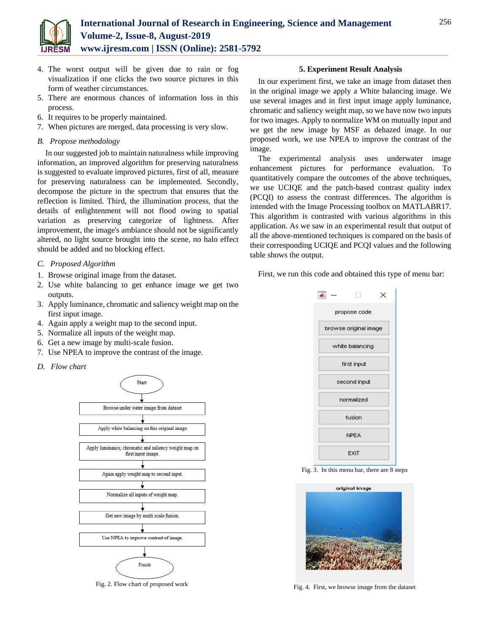

- 4. The worst output will be given due to rain or fog visualization if one clicks the two source pictures in this form of weather circumstances.
- 5. There are enormous chances of information loss in this process.
- 6. It requires to be properly maintained.
- 7. When pictures are merged, data processing is very slow.
- *B. Propose methodology*

In our suggested job to maintain naturalness while improving information, an improved algorithm for preserving naturalness is suggested to evaluate improved pictures, first of all, measure for preserving naturalness can be implemented. Secondly, decompose the picture in the spectrum that ensures that the reflection is limited. Third, the illumination process, that the details of enlightenment will not flood owing to spatial variation as preserving categorize of lightness. After improvement, the image's ambiance should not be significantly altered, no light source brought into the scene, no halo effect should be added and no blocking effect.

- *C. Proposed Algorithm*
- 1. Browse original image from the dataset.
- 2. Use white balancing to get enhance image we get two outputs.
- 3. Apply luminance, chromatic and saliency weight map on the first input image.
- 4. Again apply a weight map to the second input.
- 5. Normalize all inputs of the weight map.
- 6. Get a new image by multi-scale fusion.
- 7. Use NPEA to improve the contrast of the image.
- *D. Flow chart*



Fig. 2. Flow chart of proposed work

#### **5. Experiment Result Analysis**

In our experiment first, we take an image from dataset then in the original image we apply a White balancing image. We use several images and in first input image apply luminance, chromatic and saliency weight map, so we have now two inputs for two images. Apply to normalize WM on mutually input and we get the new image by MSF as dehazed image. In our proposed work, we use NPEA to improve the contrast of the image.

The experimental analysis uses underwater image enhancement pictures for performance evaluation. To quantitatively compare the outcomes of the above techniques, we use UCIQE and the patch-based contrast quality index (PCQI) to assess the contrast differences. The algorithm is intended with the Image Processing toolbox on MATLABR17. This algorithm is contrasted with various algorithms in this application. As we saw in an experimental result that output of all the above-mentioned techniques is compared on the basis of their corresponding UCIQE and PCQI values and the following table shows the output.

First, we run this code and obtained this type of menu bar:



Fig. 3. In this menu bar, there are 8 steps



Fig. 4. First, we browse image from the dataset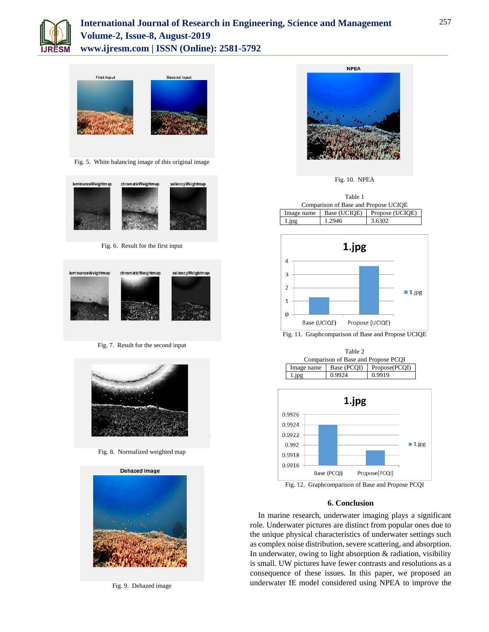



Fig. 5. White balancing image of this original image



Fig. 6. Result for the first input



Fig. 7. Result for the second input



Fig. 8. Normalized weighted map



Fig. 9. Dehazed image



Fig. 10. NPEA

| Table 1                              |              |                 |
|--------------------------------------|--------------|-----------------|
| Comparison of Base and Propose UCIQE |              |                 |
| Image name                           | Base (UCIOE) | Propose (UCIQE) |
| l.jpg                                | 1.2946       | 3.6302          |



Fig. 11. Graphcomparison of Base and Propose UCIQE





## **6. Conclusion**

In marine research, underwater imaging plays a significant role. Underwater pictures are distinct from popular ones due to the unique physical characteristics of underwater settings such as complex noise distribution, severe scattering, and absorption. In underwater, owing to light absorption & radiation, visibility is small. UW pictures have fewer contrasts and resolutions as a consequence of these issues. In this paper, we proposed an underwater IE model considered using NPEA to improve the